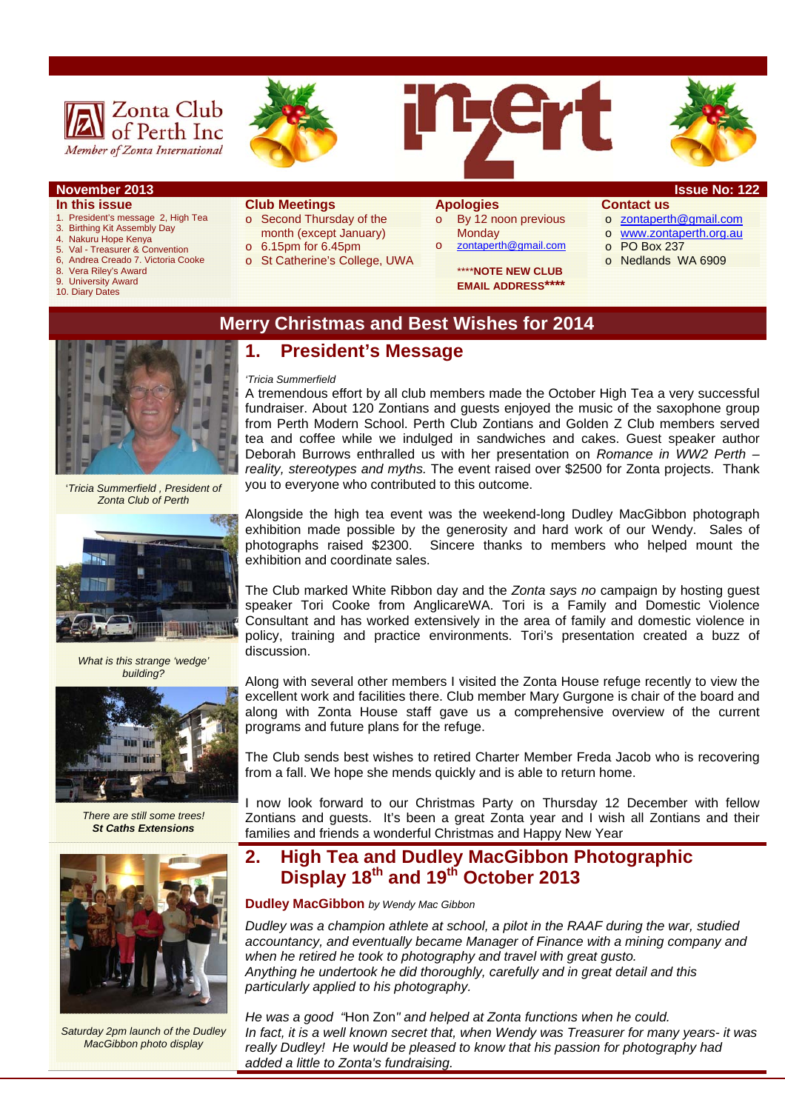







#### **November 2013 Issue No: 122**

#### **In this issue**

- 1. President's message 2, High Tea
- 3. Birthing Kit Assembly Day 4. Nakuru Hope Kenya
- 5. Val Treasurer & Convention
- 6, Andrea Creado 7. Victoria Cooke
- 8. Vera Riley's Award<br>9. University Award
- **University Award**
- 10. Diary Dates

#### **Club Meetings**

- o Second Thursday of the month (except January)
- o 6.15pm for 6.45pm
- o St Catherine's College, UWA

#### **Apologies**

o By 12 noon previous **Monday** o zontaperth@gmail.com

> \*\*\*\***NOTE NEW CLUB EMAIL ADDRESS\*\*\*\***

- **Contact us**  o zontaperth@gmail.com
- o www.zontaperth.org.au
- o PO Box 237
- o Nedlands WA 6909

### **Merry Christmas and Best Wishes for 2014**

## **1. President's Message**

#### *'Tricia Summerfield*

A tremendous effort by all club members made the October High Tea a very successful fundraiser. About 120 Zontians and guests enjoyed the music of the saxophone group from Perth Modern School. Perth Club Zontians and Golden Z Club members served tea and coffee while we indulged in sandwiches and cakes. Guest speaker author Deborah Burrows enthralled us with her presentation on *Romance in WW2 Perth – reality, stereotypes and myths.* The event raised over \$2500 for Zonta projects. Thank you to everyone who contributed to this outcome.

Alongside the high tea event was the weekend-long Dudley MacGibbon photograph exhibition made possible by the generosity and hard work of our Wendy. Sales of photographs raised \$2300. Sincere thanks to members who helped mount the exhibition and coordinate sales.

The Club marked White Ribbon day and the *Zonta says no* campaign by hosting guest speaker Tori Cooke from AnglicareWA. Tori is a Family and Domestic Violence Consultant and has worked extensively in the area of family and domestic violence in policy, training and practice environments. Tori's presentation created a buzz of discussion.

Along with several other members I visited the Zonta House refuge recently to view the excellent work and facilities there. Club member Mary Gurgone is chair of the board and along with Zonta House staff gave us a comprehensive overview of the current programs and future plans for the refuge.

The Club sends best wishes to retired Charter Member Freda Jacob who is recovering from a fall. We hope she mends quickly and is able to return home.

I now look forward to our Christmas Party on Thursday 12 December with fellow Zontians and guests. It's been a great Zonta year and I wish all Zontians and their families and friends a wonderful Christmas and Happy New Year

### **2. High Tea and Dudley MacGibbon Photographic Display 18th and 19th October 2013**

#### **Dudley MacGibbon** *by Wendy Mac Gibbon*

*Dudley was a champion athlete at school, a pilot in the RAAF during the war, studied accountancy, and eventually became Manager of Finance with a mining company and when he retired he took to photography and travel with great gusto. Anything he undertook he did thoroughly, carefully and in great detail and this particularly applied to his photography.* 

*He was a good "*Hon Zon*" and helped at Zonta functions when he could. In fact, it is a well known secret that, when Wendy was Treasurer for many years- it was really Dudley! He would be pleased to know that his passion for photography had added a little to Zonta's fundraising.* 



*What is this strange 'wedge' building?* 



*There are still some trees! St Caths Extensions* 



*Saturday 2pm launch of the Dudley MacGibbon photo display*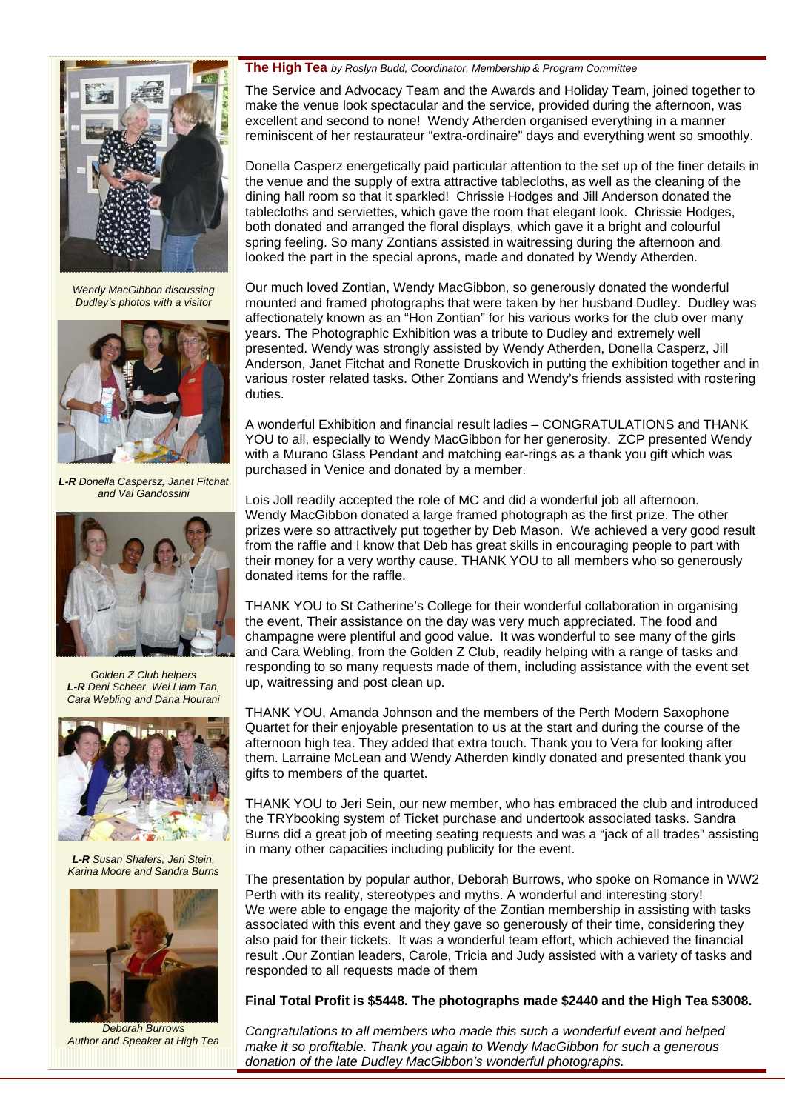

*Wendy MacGibbon discussing Dudley's photos with a visitor* 



*L-R Donella Caspersz, Janet Fitchat and Val Gandossini* 



*Golden Z Club helpers L-R Deni Scheer, Wei Liam Tan, Cara Webling and Dana Hourani* 



*L-R Susan Shafers, Jeri Stein, Karina Moore and Sandra Burns* 



*Deborah Burrows Author and Speaker at High Tea* 

#### **The High Tea** *by Roslyn Budd, Coordinator, Membership & Program Committee*

The Service and Advocacy Team and the Awards and Holiday Team, joined together to make the venue look spectacular and the service, provided during the afternoon, was excellent and second to none! Wendy Atherden organised everything in a manner reminiscent of her restaurateur "extra-ordinaire" days and everything went so smoothly.

Donella Casperz energetically paid particular attention to the set up of the finer details in the venue and the supply of extra attractive tablecloths, as well as the cleaning of the dining hall room so that it sparkled! Chrissie Hodges and Jill Anderson donated the tablecloths and serviettes, which gave the room that elegant look. Chrissie Hodges, both donated and arranged the floral displays, which gave it a bright and colourful spring feeling. So many Zontians assisted in waitressing during the afternoon and looked the part in the special aprons, made and donated by Wendy Atherden.

Our much loved Zontian, Wendy MacGibbon, so generously donated the wonderful mounted and framed photographs that were taken by her husband Dudley. Dudley was affectionately known as an "Hon Zontian" for his various works for the club over many years. The Photographic Exhibition was a tribute to Dudley and extremely well presented. Wendy was strongly assisted by Wendy Atherden, Donella Casperz, Jill Anderson, Janet Fitchat and Ronette Druskovich in putting the exhibition together and in various roster related tasks. Other Zontians and Wendy's friends assisted with rostering duties.

A wonderful Exhibition and financial result ladies – CONGRATULATIONS and THANK YOU to all, especially to Wendy MacGibbon for her generosity. ZCP presented Wendy with a Murano Glass Pendant and matching ear-rings as a thank you gift which was purchased in Venice and donated by a member.

Lois Joll readily accepted the role of MC and did a wonderful job all afternoon. Wendy MacGibbon donated a large framed photograph as the first prize. The other prizes were so attractively put together by Deb Mason. We achieved a very good result from the raffle and I know that Deb has great skills in encouraging people to part with their money for a very worthy cause. THANK YOU to all members who so generously donated items for the raffle.

THANK YOU to St Catherine's College for their wonderful collaboration in organising the event, Their assistance on the day was very much appreciated. The food and champagne were plentiful and good value. It was wonderful to see many of the girls and Cara Webling, from the Golden Z Club, readily helping with a range of tasks and responding to so many requests made of them, including assistance with the event set up, waitressing and post clean up.

THANK YOU, Amanda Johnson and the members of the Perth Modern Saxophone Quartet for their enjoyable presentation to us at the start and during the course of the afternoon high tea. They added that extra touch. Thank you to Vera for looking after them. Larraine McLean and Wendy Atherden kindly donated and presented thank you gifts to members of the quartet.

THANK YOU to Jeri Sein, our new member, who has embraced the club and introduced the TRYbooking system of Ticket purchase and undertook associated tasks. Sandra Burns did a great job of meeting seating requests and was a "jack of all trades" assisting in many other capacities including publicity for the event.

The presentation by popular author, Deborah Burrows, who spoke on Romance in WW2 Perth with its reality, stereotypes and myths. A wonderful and interesting story! We were able to engage the majority of the Zontian membership in assisting with tasks associated with this event and they gave so generously of their time, considering they also paid for their tickets. It was a wonderful team effort, which achieved the financial result .Our Zontian leaders, Carole, Tricia and Judy assisted with a variety of tasks and responded to all requests made of them

#### **Final Total Profit is \$5448. The photographs made \$2440 and the High Tea \$3008.**

*Congratulations to all members who made this such a wonderful event and helped make it so profitable. Thank you again to Wendy MacGibbon for such a generous donation of the late Dudley MacGibbon's wonderful photographs.*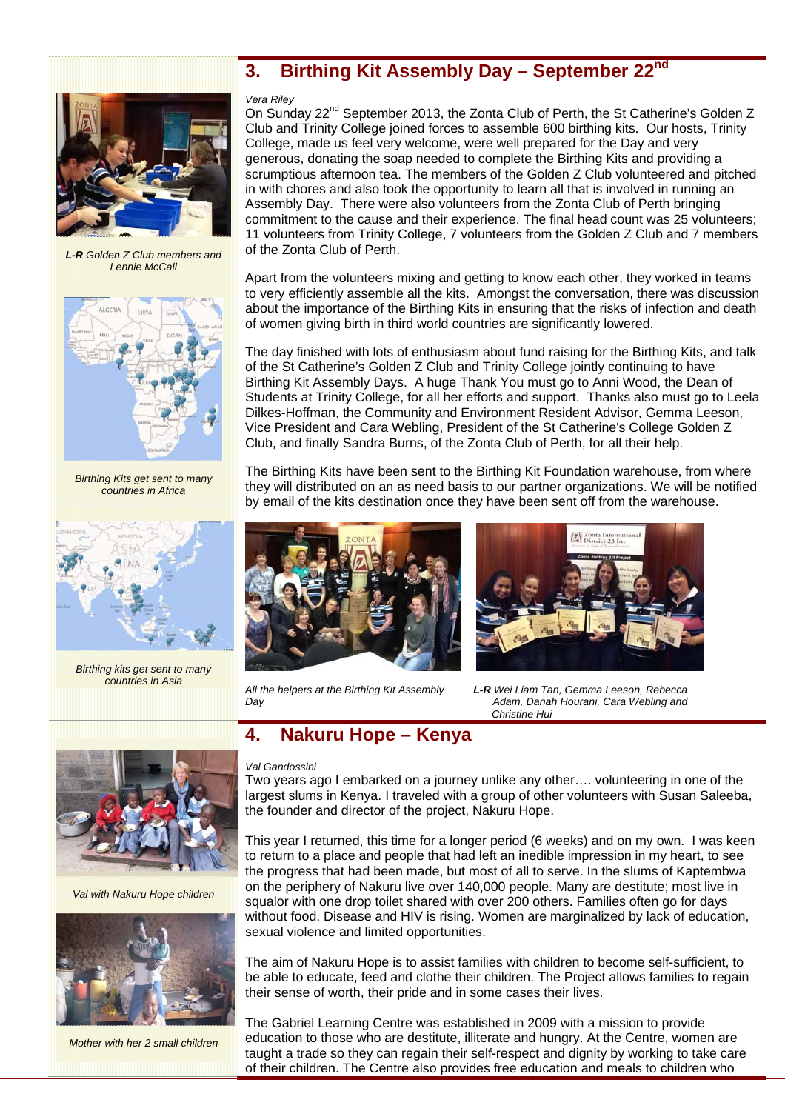# **3. Birthing Kit Assembly Day – September 22nd**



*L-R Golden Z Club members and Lennie McCall* 



*Birthing Kits get sent to many countries in Africa* 



*Birthing kits get sent to many countries in Asia* 

#### *Vera Riley*

On Sunday 22<sup>nd</sup> September 2013, the Zonta Club of Perth, the St Catherine's Golden Z Club and Trinity College joined forces to assemble 600 birthing kits. Our hosts, Trinity College, made us feel very welcome, were well prepared for the Day and very generous, donating the soap needed to complete the Birthing Kits and providing a scrumptious afternoon tea. The members of the Golden Z Club volunteered and pitched in with chores and also took the opportunity to learn all that is involved in running an Assembly Day. There were also volunteers from the Zonta Club of Perth bringing commitment to the cause and their experience. The final head count was 25 volunteers; 11 volunteers from Trinity College, 7 volunteers from the Golden Z Club and 7 members of the Zonta Club of Perth.

Apart from the volunteers mixing and getting to know each other, they worked in teams to very efficiently assemble all the kits. Amongst the conversation, there was discussion about the importance of the Birthing Kits in ensuring that the risks of infection and death of women giving birth in third world countries are significantly lowered.

The day finished with lots of enthusiasm about fund raising for the Birthing Kits, and talk of the St Catherine's Golden Z Club and Trinity College jointly continuing to have Birthing Kit Assembly Days. A huge Thank You must go to Anni Wood, the Dean of Students at Trinity College, for all her efforts and support. Thanks also must go to Leela Dilkes-Hoffman, the Community and Environment Resident Advisor, Gemma Leeson, Vice President and Cara Webling, President of the St Catherine's College Golden Z Club, and finally Sandra Burns, of the Zonta Club of Perth, for all their help.

The Birthing Kits have been sent to the Birthing Kit Foundation warehouse, from where they will distributed on an as need basis to our partner organizations. We will be notified by email of the kits destination once they have been sent off from the warehouse.





*All the helpers at the Birthing Kit Assembly L-R Wei Liam Tan, Gemma Leeson, Rebecca Day Adam, Danah Hourani, Cara Webling and Christine Hui* 

### **4. Nakuru Hope – Kenya**

#### *Val Gandossini*

Two years ago I embarked on a journey unlike any other…. volunteering in one of the largest slums in Kenya. I traveled with a group of other volunteers with Susan Saleeba, the founder and director of the project, Nakuru Hope.

This year I returned, this time for a longer period (6 weeks) and on my own. I was keen to return to a place and people that had left an inedible impression in my heart, to see the progress that had been made, but most of all to serve. In the slums of Kaptembwa on the periphery of Nakuru live over 140,000 people. Many are destitute; most live in squalor with one drop toilet shared with over 200 others. Families often go for days without food. Disease and HIV is rising. Women are marginalized by lack of education, sexual violence and limited opportunities.

The aim of Nakuru Hope is to assist families with children to become self-sufficient, to be able to educate, feed and clothe their children. The Project allows families to regain their sense of worth, their pride and in some cases their lives.

The Gabriel Learning Centre was established in 2009 with a mission to provide education to those who are destitute, illiterate and hungry. At the Centre, women are taught a trade so they can regain their self-respect and dignity by working to take care of their children. The Centre also provides free education and meals to children who



*Val with Nakuru Hope children* 



*Mother with her 2 small children*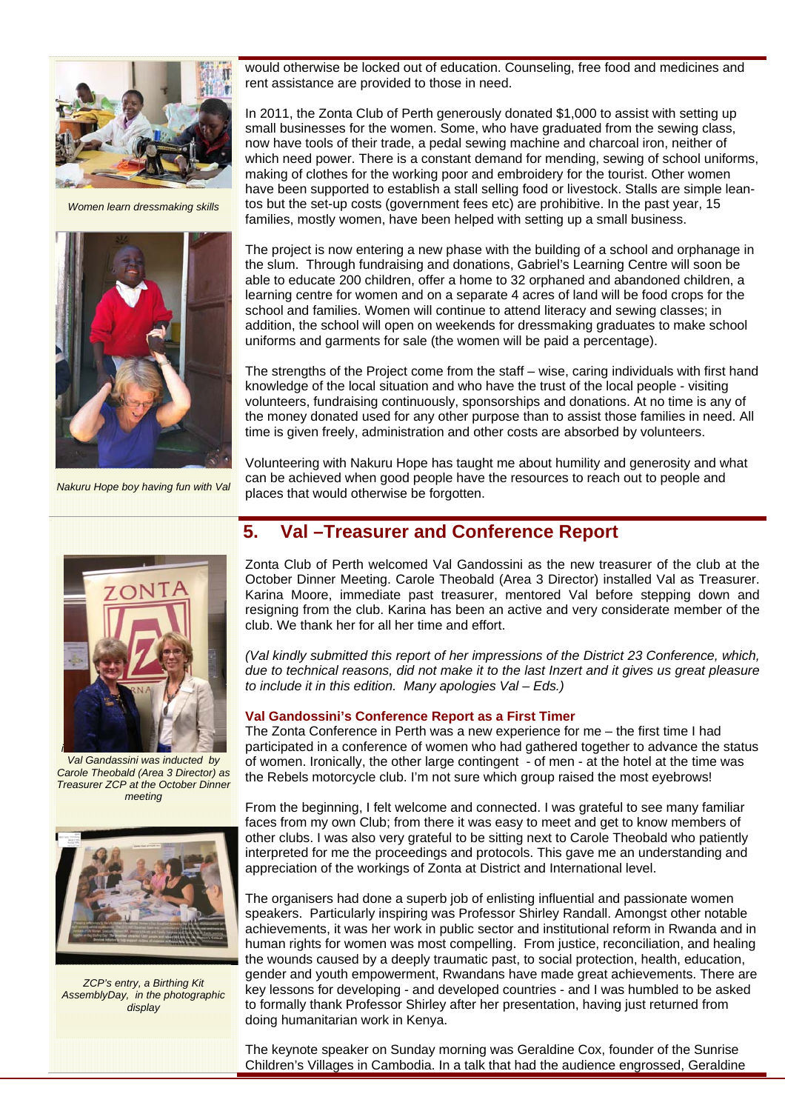

*Women learn dressmaking skills* 



*Nakuru Hope boy having fun with Val* 



*Val Gandassini was inducted by Carole Theobald (Area 3 Director) as Treasurer ZCP at the October Dinner meeting* 



*ZCP's entry, a Birthing Kit AssemblyDay, in the photographic display* 

would otherwise be locked out of education. Counseling, free food and medicines and rent assistance are provided to those in need.

In 2011, the Zonta Club of Perth generously donated \$1,000 to assist with setting up small businesses for the women. Some, who have graduated from the sewing class, now have tools of their trade, a pedal sewing machine and charcoal iron, neither of which need power. There is a constant demand for mending, sewing of school uniforms, making of clothes for the working poor and embroidery for the tourist. Other women have been supported to establish a stall selling food or livestock. Stalls are simple leantos but the set-up costs (government fees etc) are prohibitive. In the past year, 15 families, mostly women, have been helped with setting up a small business.

The project is now entering a new phase with the building of a school and orphanage in the slum. Through fundraising and donations, Gabriel's Learning Centre will soon be able to educate 200 children, offer a home to 32 orphaned and abandoned children, a learning centre for women and on a separate 4 acres of land will be food crops for the school and families. Women will continue to attend literacy and sewing classes; in addition, the school will open on weekends for dressmaking graduates to make school uniforms and garments for sale (the women will be paid a percentage).

The strengths of the Project come from the staff – wise, caring individuals with first hand knowledge of the local situation and who have the trust of the local people - visiting volunteers, fundraising continuously, sponsorships and donations. At no time is any of the money donated used for any other purpose than to assist those families in need. All time is given freely, administration and other costs are absorbed by volunteers.

Volunteering with Nakuru Hope has taught me about humility and generosity and what can be achieved when good people have the resources to reach out to people and places that would otherwise be forgotten.

### **5. Val –Treasurer and Conference Report**

Zonta Club of Perth welcomed Val Gandossini as the new treasurer of the club at the October Dinner Meeting. Carole Theobald (Area 3 Director) installed Val as Treasurer. Karina Moore, immediate past treasurer, mentored Val before stepping down and resigning from the club. Karina has been an active and very considerate member of the club. We thank her for all her time and effort.

*(Val kindly submitted this report of her impressions of the District 23 Conference, which, due to technical reasons, did not make it to the last Inzert and it gives us great pleasure to include it in this edition. Many apologies Val – Eds.)* 

#### **Val Gandossini's Conference Report as a First Timer**

The Zonta Conference in Perth was a new experience for me – the first time I had participated in a conference of women who had gathered together to advance the status of women. Ironically, the other large contingent - of men - at the hotel at the time was the Rebels motorcycle club. I'm not sure which group raised the most eyebrows!

From the beginning, I felt welcome and connected. I was grateful to see many familiar faces from my own Club; from there it was easy to meet and get to know members of other clubs. I was also very grateful to be sitting next to Carole Theobald who patiently interpreted for me the proceedings and protocols. This gave me an understanding and appreciation of the workings of Zonta at District and International level.

The organisers had done a superb job of enlisting influential and passionate women speakers. Particularly inspiring was Professor Shirley Randall. Amongst other notable achievements, it was her work in public sector and institutional reform in Rwanda and in human rights for women was most compelling. From justice, reconciliation, and healing the wounds caused by a deeply traumatic past, to social protection, health, education, gender and youth empowerment, Rwandans have made great achievements. There are key lessons for developing - and developed countries - and I was humbled to be asked to formally thank Professor Shirley after her presentation, having just returned from doing humanitarian work in Kenya.

The keynote speaker on Sunday morning was Geraldine Cox, founder of the Sunrise Children's Villages in Cambodia. In a talk that had the audience engrossed, Geraldine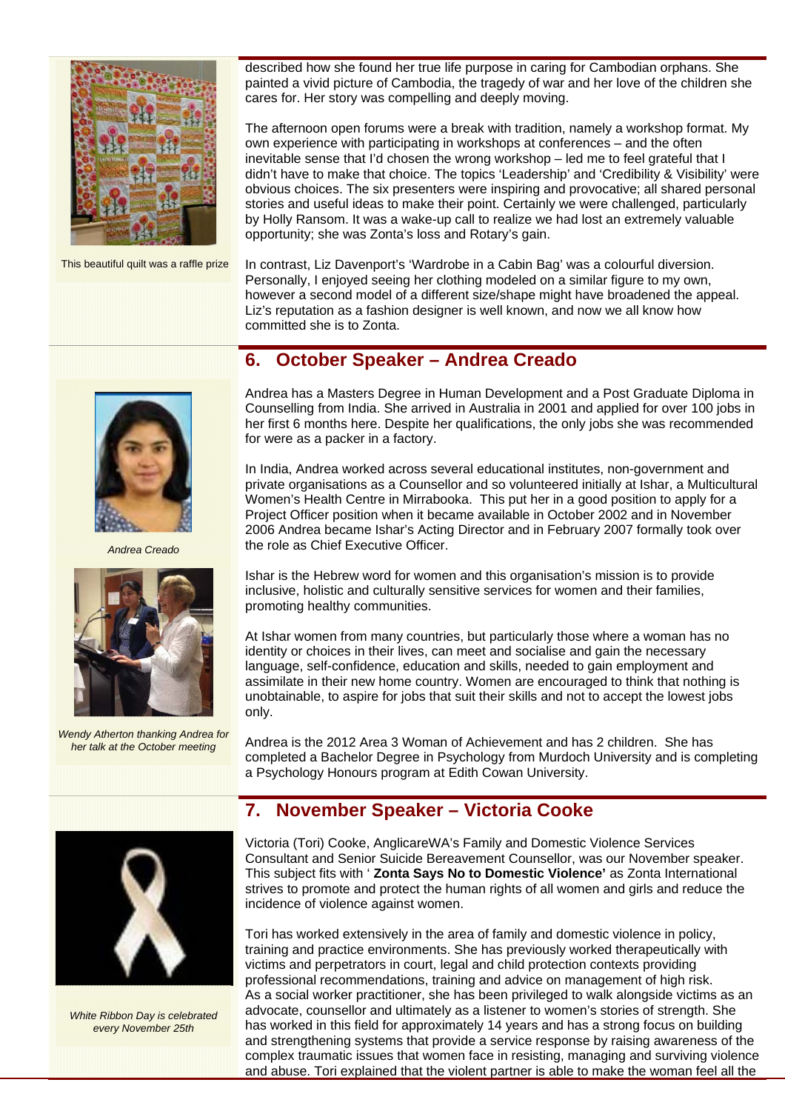

This beautiful quilt was a raffle prize

described how she found her true life purpose in caring for Cambodian orphans. She painted a vivid picture of Cambodia, the tragedy of war and her love of the children she cares for. Her story was compelling and deeply moving.

The afternoon open forums were a break with tradition, namely a workshop format. My own experience with participating in workshops at conferences – and the often inevitable sense that I'd chosen the wrong workshop – led me to feel grateful that I didn't have to make that choice. The topics 'Leadership' and 'Credibility & Visibility' were obvious choices. The six presenters were inspiring and provocative; all shared personal stories and useful ideas to make their point. Certainly we were challenged, particularly by Holly Ransom. It was a wake-up call to realize we had lost an extremely valuable opportunity; she was Zonta's loss and Rotary's gain.

In contrast, Liz Davenport's 'Wardrobe in a Cabin Bag' was a colourful diversion. Personally, I enjoyed seeing her clothing modeled on a similar figure to my own, however a second model of a different size/shape might have broadened the appeal. Liz's reputation as a fashion designer is well known, and now we all know how committed she is to Zonta.

### **6. October Speaker – Andrea Creado**



*Andrea Creado* 



*Wendy Atherton thanking Andrea for her talk at the October meeting* 

Andrea has a Masters Degree in Human Development and a Post Graduate Diploma in Counselling from India. She arrived in Australia in 2001 and applied for over 100 jobs in her first 6 months here. Despite her qualifications, the only jobs she was recommended for were as a packer in a factory.

In India, Andrea worked across several educational institutes, non-government and private organisations as a Counsellor and so volunteered initially at Ishar, a Multicultural Women's Health Centre in Mirrabooka. This put her in a good position to apply for a Project Officer position when it became available in October 2002 and in November 2006 Andrea became Ishar's Acting Director and in February 2007 formally took over the role as Chief Executive Officer.

Ishar is the Hebrew word for women and this organisation's mission is to provide inclusive, holistic and culturally sensitive services for women and their families, promoting healthy communities.

At Ishar women from many countries, but particularly those where a woman has no identity or choices in their lives, can meet and socialise and gain the necessary language, self-confidence, education and skills, needed to gain employment and assimilate in their new home country. Women are encouraged to think that nothing is unobtainable, to aspire for jobs that suit their skills and not to accept the lowest jobs only.

Andrea is the 2012 Area 3 Woman of Achievement and has 2 children. She has completed a Bachelor Degree in Psychology from Murdoch University and is completing a Psychology Honours program at Edith Cowan University.

### **7. November Speaker – Victoria Cooke**

Victoria (Tori) Cooke, AnglicareWA's Family and Domestic Violence Services Consultant and Senior Suicide Bereavement Counsellor, was our November speaker. This subject fits with ' **Zonta Says No to Domestic Violence'** as Zonta International strives to promote and protect the human rights of all women and girls and reduce the incidence of violence against women.

Tori has worked extensively in the area of family and domestic violence in policy, training and practice environments. She has previously worked therapeutically with victims and perpetrators in court, legal and child protection contexts providing professional recommendations, training and advice on management of high risk. As a social worker practitioner, she has been privileged to walk alongside victims as an advocate, counsellor and ultimately as a listener to women's stories of strength. She has worked in this field for approximately 14 years and has a strong focus on building and strengthening systems that provide a service response by raising awareness of the complex traumatic issues that women face in resisting, managing and surviving violence and abuse. Tori explained that the violent partner is able to make the woman feel all the



*White Ribbon Day is celebrated every November 25th*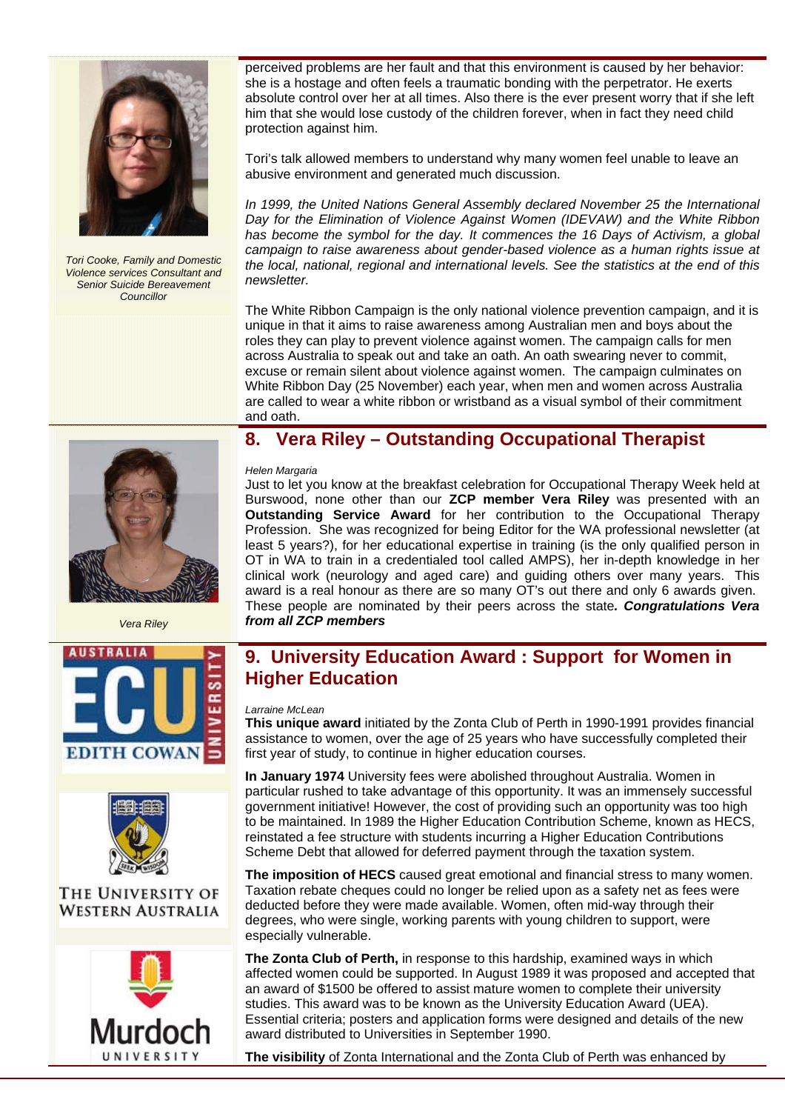

*Tori Cooke, Family and Domestic Violence services Consultant and Senior Suicide Bereavement Councillor* 

perceived problems are her fault and that this environment is caused by her behavior: she is a hostage and often feels a traumatic bonding with the perpetrator. He exerts absolute control over her at all times. Also there is the ever present worry that if she left him that she would lose custody of the children forever, when in fact they need child protection against him.

Tori's talk allowed members to understand why many women feel unable to leave an abusive environment and generated much discussion.

*In 1999, the United Nations General Assembly declared November 25 the International Day for the Elimination of Violence Against Women (IDEVAW) and the White Ribbon has become the symbol for the day. It commences the 16 Days of Activism, a global campaign to raise awareness about gender-based violence as a human rights issue at the local, national, regional and international levels. See the statistics at the end of this newsletter.* 

The White Ribbon Campaign is the only national violence prevention campaign, and it is unique in that it aims to raise awareness among Australian men and boys about the roles they can play to prevent violence against women. The campaign calls for men across Australia to speak out and take an oath. An oath swearing never to commit, excuse or remain silent about violence against women. The campaign culminates on White Ribbon Day (25 November) each year, when men and women across Australia are called to wear a white ribbon or wristband as a visual symbol of their commitment and oath.

*Vera Riley* 





### THE UNIVERSITY OF **WESTERN AUSTRALIA**



### **8. Vera Riley – Outstanding Occupational Therapist**

#### *Helen Margaria*

Just to let you know at the breakfast celebration for Occupational Therapy Week held at Burswood, none other than our **ZCP member Vera Riley** was presented with an **Outstanding Service Award** for her contribution to the Occupational Therapy Profession. She was recognized for being Editor for the WA professional newsletter (at least 5 years?), for her educational expertise in training (is the only qualified person in OT in WA to train in a credentialed tool called AMPS), her in-depth knowledge in her clinical work (neurology and aged care) and guiding others over many years. This award is a real honour as there are so many OT's out there and only 6 awards given. These people are nominated by their peers across the state*. Congratulations Vera from all ZCP members*

### **9. University Education Award : Support for Women in Higher Education**

#### *Larraine McLean*

**This unique award** initiated by the Zonta Club of Perth in 1990-1991 provides financial assistance to women, over the age of 25 years who have successfully completed their first year of study, to continue in higher education courses.

**In January 1974** University fees were abolished throughout Australia. Women in particular rushed to take advantage of this opportunity. It was an immensely successful government initiative! However, the cost of providing such an opportunity was too high to be maintained. In 1989 the Higher Education Contribution Scheme, known as HECS, reinstated a fee structure with students incurring a Higher Education Contributions Scheme Debt that allowed for deferred payment through the taxation system.

**The imposition of HECS** caused great emotional and financial stress to many women. Taxation rebate cheques could no longer be relied upon as a safety net as fees were deducted before they were made available. Women, often mid-way through their degrees, who were single, working parents with young children to support, were especially vulnerable.

**The Zonta Club of Perth,** in response to this hardship, examined ways in which affected women could be supported. In August 1989 it was proposed and accepted that an award of \$1500 be offered to assist mature women to complete their university studies. This award was to be known as the University Education Award (UEA). Essential criteria; posters and application forms were designed and details of the new award distributed to Universities in September 1990.

**The visibility** of Zonta International and the Zonta Club of Perth was enhanced by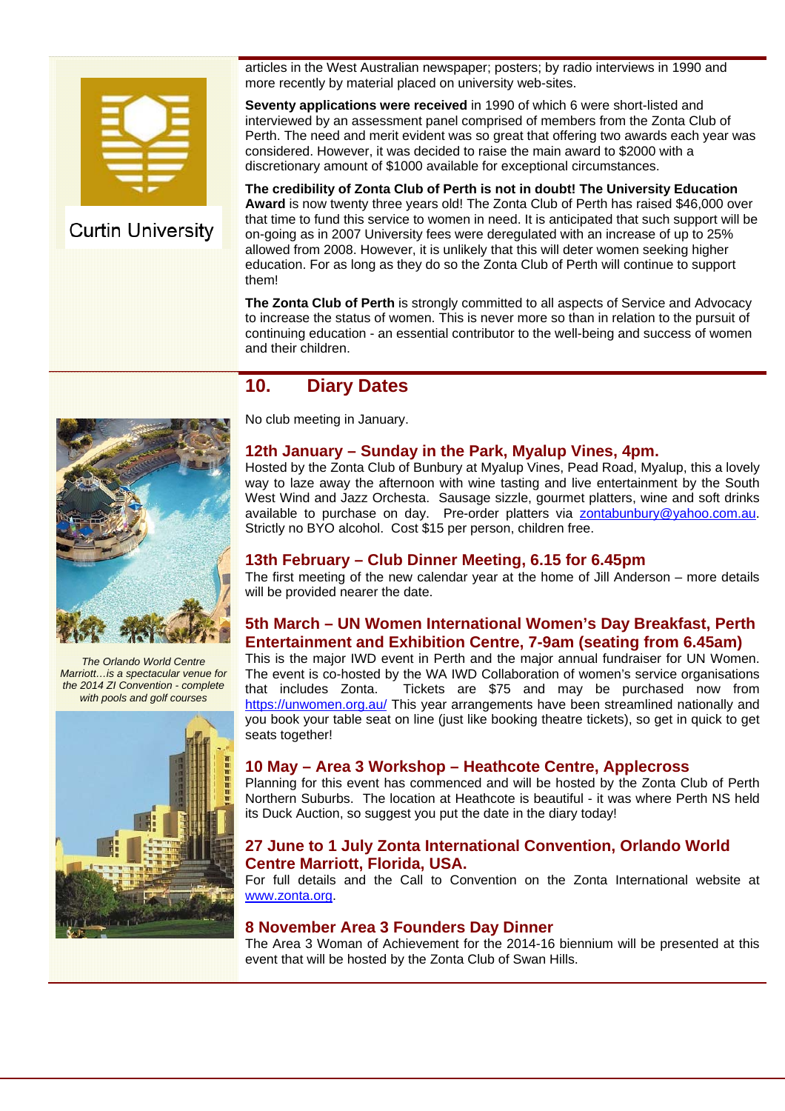

### **Curtin University**

articles in the West Australian newspaper; posters; by radio interviews in 1990 and more recently by material placed on university web-sites.

**Seventy applications were received** in 1990 of which 6 were short-listed and interviewed by an assessment panel comprised of members from the Zonta Club of Perth. The need and merit evident was so great that offering two awards each year was considered. However, it was decided to raise the main award to \$2000 with a discretionary amount of \$1000 available for exceptional circumstances.

**The credibility of Zonta Club of Perth is not in doubt! The University Education Award** is now twenty three years old! The Zonta Club of Perth has raised \$46,000 over that time to fund this service to women in need. It is anticipated that such support will be on-going as in 2007 University fees were deregulated with an increase of up to 25% allowed from 2008. However, it is unlikely that this will deter women seeking higher education. For as long as they do so the Zonta Club of Perth will continue to support them!

**The Zonta Club of Perth** is strongly committed to all aspects of Service and Advocacy to increase the status of women. This is never more so than in relation to the pursuit of continuing education - an essential contributor to the well-being and success of women and their children.

### **10. Diary Dates**



*The Orlando World Centre Marriott…is a spectacular venue for the 2014 ZI Convention - complete with pools and golf courses*



No club meeting in January.

#### **12th January – Sunday in the Park, Myalup Vines, 4pm.**

Hosted by the Zonta Club of Bunbury at Myalup Vines, Pead Road, Myalup, this a lovely way to laze away the afternoon with wine tasting and live entertainment by the South West Wind and Jazz Orchesta. Sausage sizzle, gourmet platters, wine and soft drinks available to purchase on day. Pre-order platters via zontabunbury@yahoo.com.au. Strictly no BYO alcohol. Cost \$15 per person, children free.

#### **13th February – Club Dinner Meeting, 6.15 for 6.45pm**

The first meeting of the new calendar year at the home of Jill Anderson – more details will be provided nearer the date.

#### **5th March – UN Women International Women's Day Breakfast, Perth Entertainment and Exhibition Centre, 7-9am (seating from 6.45am)**

This is the major IWD event in Perth and the major annual fundraiser for UN Women. The event is co-hosted by the WA IWD Collaboration of women's service organisations that includes Zonta. Tickets are \$75 and may be purchased now from https://unwomen.org.au/ This year arrangements have been streamlined nationally and you book your table seat on line (just like booking theatre tickets), so get in quick to get seats together!

#### **10 May – Area 3 Workshop – Heathcote Centre, Applecross**

Planning for this event has commenced and will be hosted by the Zonta Club of Perth Northern Suburbs. The location at Heathcote is beautiful - it was where Perth NS held its Duck Auction, so suggest you put the date in the diary today!

#### **27 June to 1 July Zonta International Convention, Orlando World Centre Marriott, Florida, USA.**

For full details and the Call to Convention on the Zonta International website at www.zonta.org.

#### **8 November Area 3 Founders Day Dinner**

The Area 3 Woman of Achievement for the 2014-16 biennium will be presented at this event that will be hosted by the Zonta Club of Swan Hills.